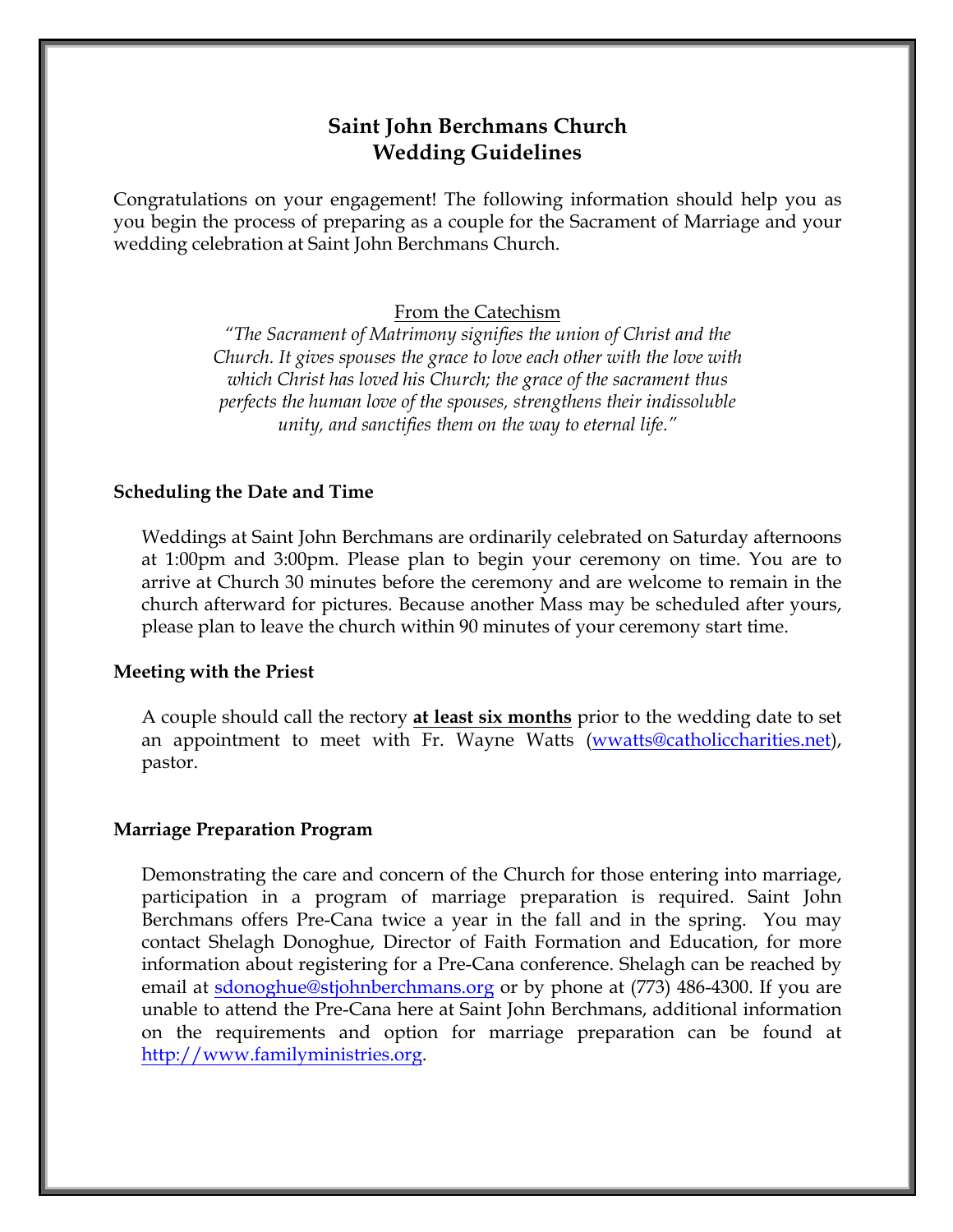# **Saint John Berchmans Church Wedding Guidelines**

Congratulations on your engagement! The following information should help you as you begin the process of preparing as a couple for the Sacrament of Marriage and your wedding celebration at Saint John Berchmans Church.

From the Catechism

*"The Sacrament of Matrimony signifies the union of Christ and the Church. It gives spouses the grace to love each other with the love with which Christ has loved his Church; the grace of the sacrament thus perfects the human love of the spouses, strengthens their indissoluble unity, and sanctifies them on the way to eternal life."*

## **Scheduling the Date and Time**

Weddings at Saint John Berchmans are ordinarily celebrated on Saturday afternoons at 1:00pm and 3:00pm. Please plan to begin your ceremony on time. You are to arrive at Church 30 minutes before the ceremony and are welcome to remain in the church afterward for pictures. Because another Mass may be scheduled after yours, please plan to leave the church within 90 minutes of your ceremony start time.

## **Meeting with the Priest**

A couple should call the rectory **at least six months** prior to the wedding date to set an appointment to meet with Fr. Wayne Watts (wwatts@catholiccharities.net), pastor.

## **Marriage Preparation Program**

Demonstrating the care and concern of the Church for those entering into marriage, participation in a program of marriage preparation is required. Saint John Berchmans offers Pre-Cana twice a year in the fall and in the spring. You may contact Shelagh Donoghue, Director of Faith Formation and Education, for more information about registering for a Pre-Cana conference. Shelagh can be reached by email at sdonoghue@stjohnberchmans.org or by phone at (773) 486-4300. If you are unable to attend the Pre-Cana here at Saint John Berchmans, additional information on the requirements and option for marriage preparation can be found at http://www.familyministries.org.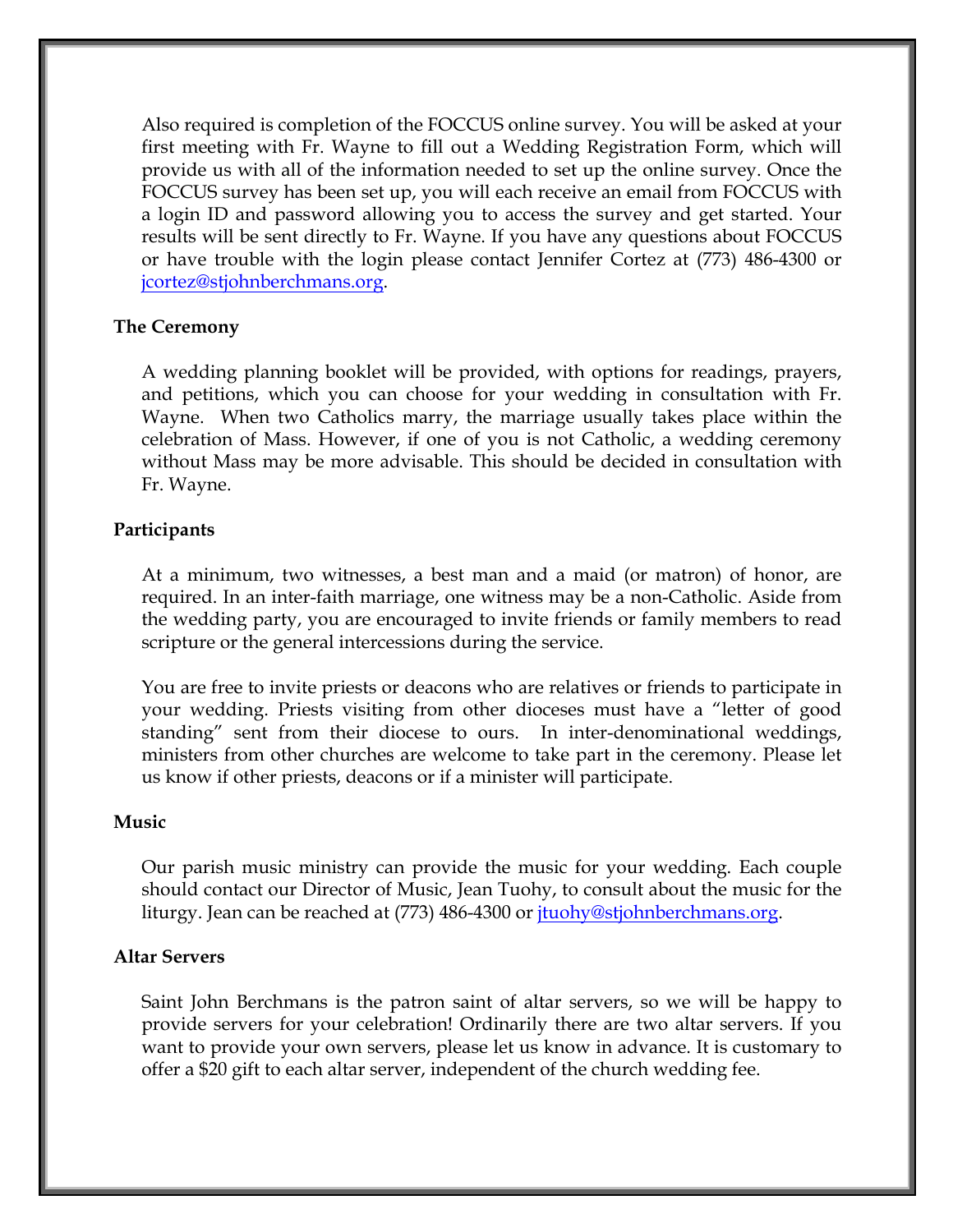Also required is completion of the FOCCUS online survey. You will be asked at your first meeting with Fr. Wayne to fill out a Wedding Registration Form, which will provide us with all of the information needed to set up the online survey. Once the FOCCUS survey has been set up, you will each receive an email from FOCCUS with a login ID and password allowing you to access the survey and get started. Your results will be sent directly to Fr. Wayne. If you have any questions about FOCCUS or have trouble with the login please contact Jennifer Cortez at (773) 486-4300 or jcortez@stjohnberchmans.org.

### **The Ceremony**

A wedding planning booklet will be provided, with options for readings, prayers, and petitions, which you can choose for your wedding in consultation with Fr. Wayne. When two Catholics marry, the marriage usually takes place within the celebration of Mass. However, if one of you is not Catholic, a wedding ceremony without Mass may be more advisable. This should be decided in consultation with Fr. Wayne.

### **Participants**

At a minimum, two witnesses, a best man and a maid (or matron) of honor, are required. In an inter-faith marriage, one witness may be a non-Catholic. Aside from the wedding party, you are encouraged to invite friends or family members to read scripture or the general intercessions during the service.

You are free to invite priests or deacons who are relatives or friends to participate in your wedding. Priests visiting from other dioceses must have a "letter of good standing" sent from their diocese to ours. In inter-denominational weddings, ministers from other churches are welcome to take part in the ceremony. Please let us know if other priests, deacons or if a minister will participate.

#### **Music**

Our parish music ministry can provide the music for your wedding. Each couple should contact our Director of Music, Jean Tuohy, to consult about the music for the liturgy. Jean can be reached at (773) 486-4300 or jtuohy@stjohnberchmans.org.

#### **Altar Servers**

Saint John Berchmans is the patron saint of altar servers, so we will be happy to provide servers for your celebration! Ordinarily there are two altar servers. If you want to provide your own servers, please let us know in advance. It is customary to offer a \$20 gift to each altar server, independent of the church wedding fee.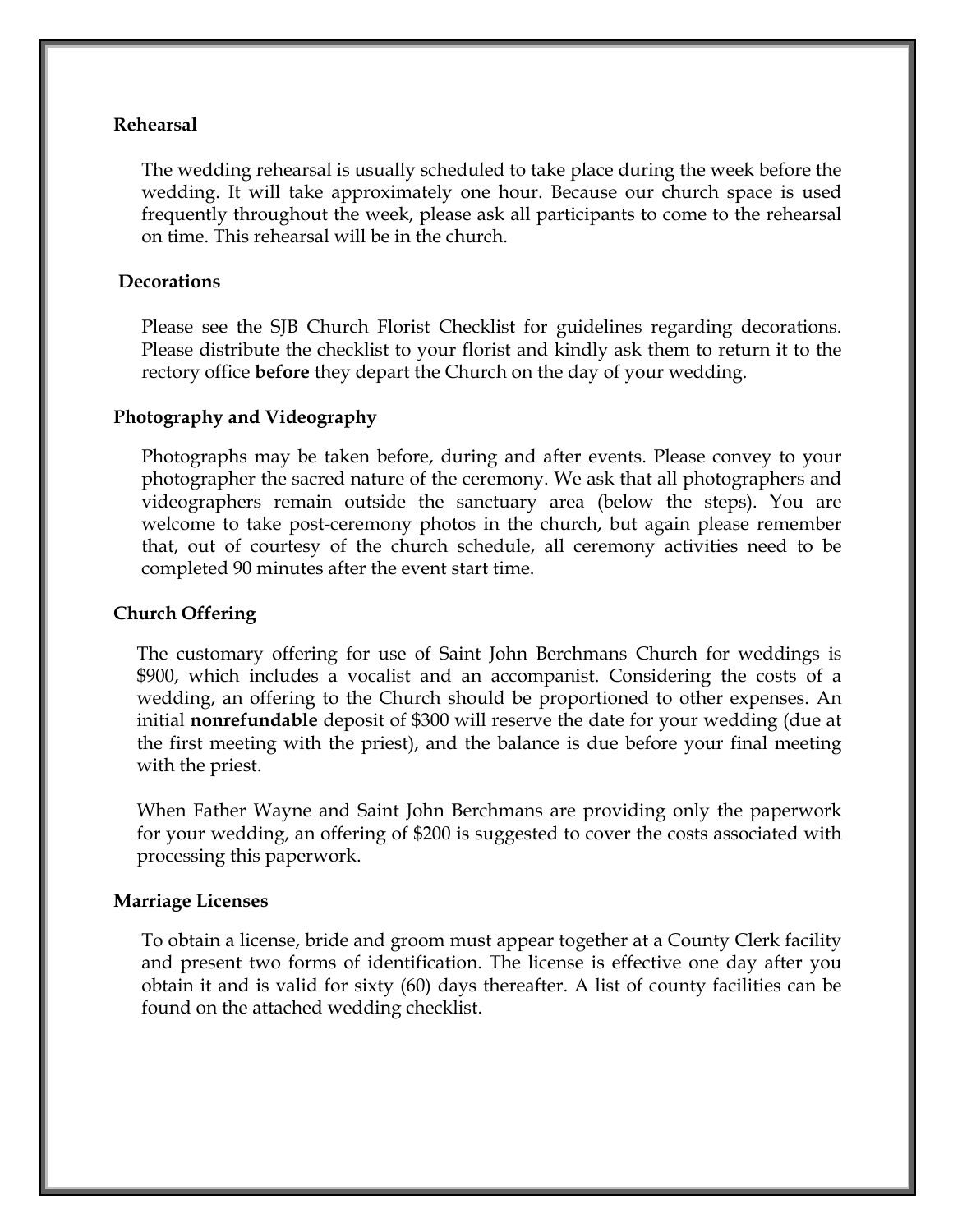## **Rehearsal**

The wedding rehearsal is usually scheduled to take place during the week before the wedding. It will take approximately one hour. Because our church space is used frequently throughout the week, please ask all participants to come to the rehearsal on time. This rehearsal will be in the church.

## **Decorations**

Please see the SJB Church Florist Checklist for guidelines regarding decorations. Please distribute the checklist to your florist and kindly ask them to return it to the rectory office **before** they depart the Church on the day of your wedding.

## **Photography and Videography**

Photographs may be taken before, during and after events. Please convey to your photographer the sacred nature of the ceremony. We ask that all photographers and videographers remain outside the sanctuary area (below the steps). You are welcome to take post-ceremony photos in the church, but again please remember that, out of courtesy of the church schedule, all ceremony activities need to be completed 90 minutes after the event start time.

# **Church Offering**

The customary offering for use of Saint John Berchmans Church for weddings is \$900, which includes a vocalist and an accompanist. Considering the costs of a wedding, an offering to the Church should be proportioned to other expenses. An initial **nonrefundable** deposit of \$300 will reserve the date for your wedding (due at the first meeting with the priest), and the balance is due before your final meeting with the priest.

When Father Wayne and Saint John Berchmans are providing only the paperwork for your wedding, an offering of \$200 is suggested to cover the costs associated with processing this paperwork.

# **Marriage Licenses**

To obtain a license, bride and groom must appear together at a County Clerk facility and present two forms of identification. The license is effective one day after you obtain it and is valid for sixty (60) days thereafter. A list of county facilities can be found on the attached wedding checklist.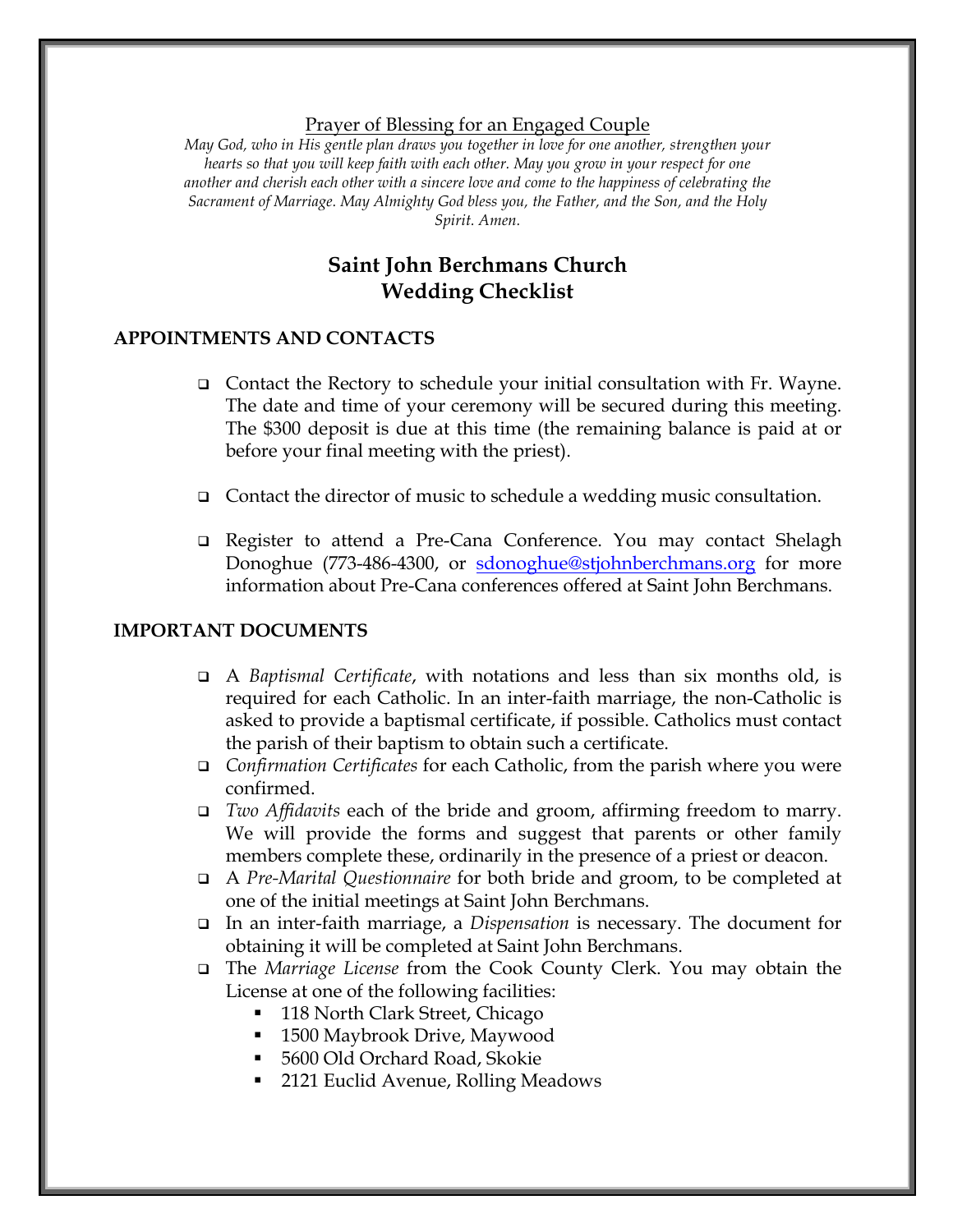### Prayer of Blessing for an Engaged Couple

*May God, who in His gentle plan draws you together in love for one another, strengthen your hearts so that you will keep faith with each other. May you grow in your respect for one another and cherish each other with a sincere love and come to the happiness of celebrating the Sacrament of Marriage. May Almighty God bless you, the Father, and the Son, and the Holy Spirit. Amen.*

# **Saint John Berchmans Church Wedding Checklist**

### **APPOINTMENTS AND CONTACTS**

- Gontact the Rectory to schedule your initial consultation with Fr. Wayne. The date and time of your ceremony will be secured during this meeting. The \$300 deposit is due at this time (the remaining balance is paid at or before your final meeting with the priest).
- $\Box$  Contact the director of music to schedule a wedding music consultation.
- q Register to attend a Pre-Cana Conference. You may contact Shelagh Donoghue (773-486-4300, or sdonoghue@stjohnberchmans.org for more information about Pre-Cana conferences offered at Saint John Berchmans.

#### **IMPORTANT DOCUMENTS**

- q A *Baptismal Certificate*, with notations and less than six months old, is required for each Catholic. In an inter-faith marriage, the non-Catholic is asked to provide a baptismal certificate, if possible. Catholics must contact the parish of their baptism to obtain such a certificate.
- q *Confirmation Certificates* for each Catholic, from the parish where you were confirmed.
- q *Two Affidavits* each of the bride and groom, affirming freedom to marry. We will provide the forms and suggest that parents or other family members complete these, ordinarily in the presence of a priest or deacon.
- q A *Pre-Marital Questionnaire* for both bride and groom, to be completed at one of the initial meetings at Saint John Berchmans.
- q In an inter-faith marriage, a *Dispensation* is necessary. The document for obtaining it will be completed at Saint John Berchmans.
- q The *Marriage License* from the Cook County Clerk. You may obtain the License at one of the following facilities:
	- 118 North Clark Street, Chicago
	- 1500 Maybrook Drive, Maywood
	- 5600 Old Orchard Road, Skokie
	- § 2121 Euclid Avenue, Rolling Meadows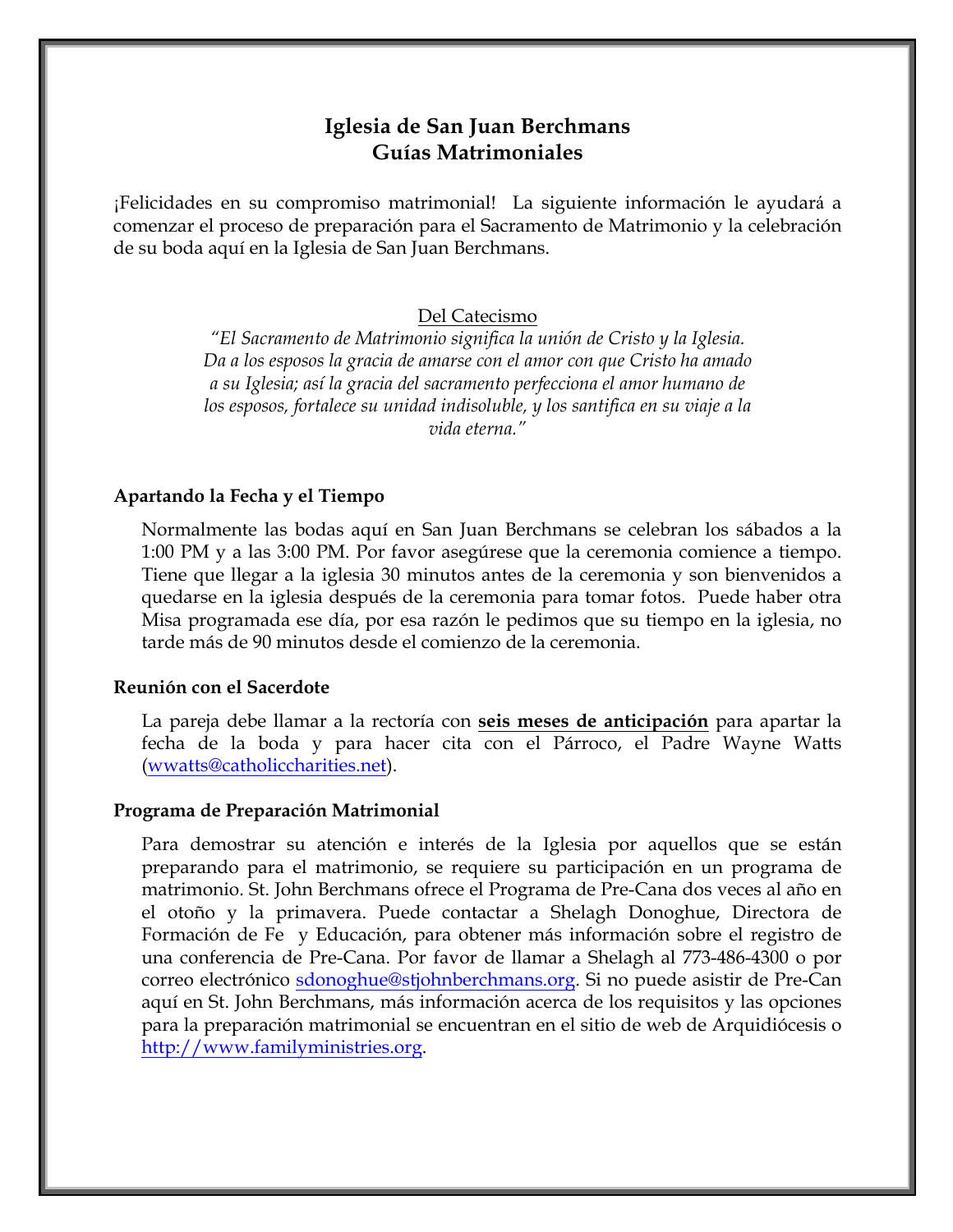# **Iglesia de San Juan Berchmans Guías Matrimoniales**

¡Felicidades en su compromiso matrimonial! La siguiente información le ayudará a comenzar el proceso de preparación para el Sacramento de Matrimonio y la celebración de su boda aquí en la Iglesia de San Juan Berchmans.

Del Catecismo

*"El Sacramento de Matrimonio significa la unión de Cristo y la Iglesia. Da a los esposos la gracia de amarse con el amor con que Cristo ha amado a su Iglesia; así la gracia del sacramento perfecciona el amor humano de los esposos, fortalece su unidad indisoluble, y los santifica en su viaje a la vida eterna."*

### **Apartando la Fecha y el Tiempo**

Normalmente las bodas aquí en San Juan Berchmans se celebran los sábados a la 1:00 PM y a las 3:00 PM. Por favor asegúrese que la ceremonia comience a tiempo. Tiene que llegar a la iglesia 30 minutos antes de la ceremonia y son bienvenidos a quedarse en la iglesia después de la ceremonia para tomar fotos. Puede haber otra Misa programada ese día, por esa razón le pedimos que su tiempo en la iglesia, no tarde más de 90 minutos desde el comienzo de la ceremonia.

#### **Reunión con el Sacerdote**

La pareja debe llamar a la rectoría con **seis meses de anticipación** para apartar la fecha de la boda y para hacer cita con el Párroco, el Padre Wayne Watts (wwatts@catholiccharities.net).

#### **Programa de Preparación Matrimonial**

Para demostrar su atención e interés de la Iglesia por aquellos que se están preparando para el matrimonio, se requiere su participación en un programa de matrimonio. St. John Berchmans ofrece el Programa de Pre-Cana dos veces al año en el otoño y la primavera. Puede contactar a Shelagh Donoghue, Directora de Formación de Fe y Educación, para obtener más información sobre el registro de una conferencia de Pre-Cana. Por favor de llamar a Shelagh al 773-486-4300 o por correo electrónico sdonoghue@stjohnberchmans.org. Si no puede asistir de Pre-Can aquí en St. John Berchmans, más información acerca de los requisitos y las opciones para la preparación matrimonial se encuentran en el sitio de web de Arquidiócesis o http://www.familyministries.org.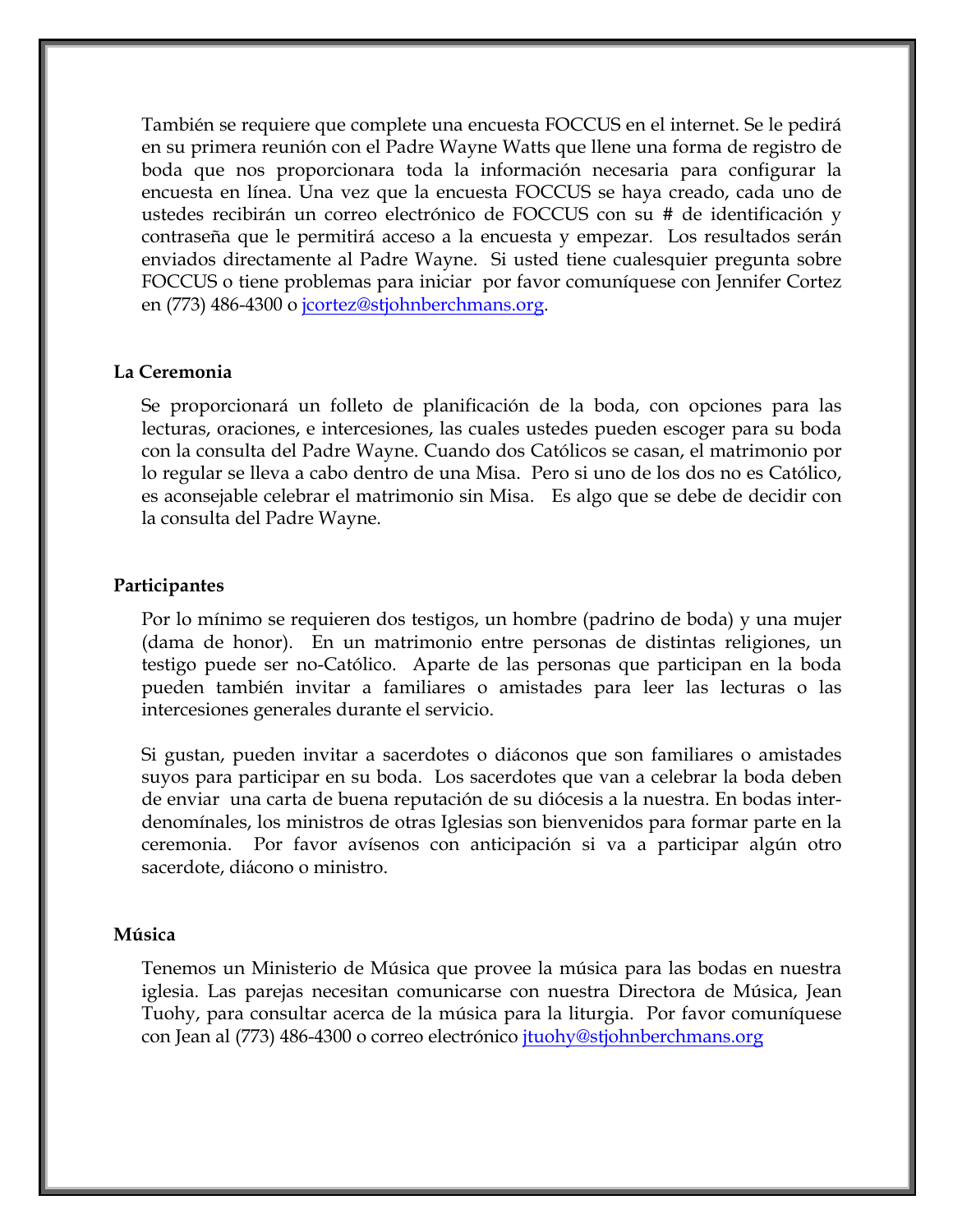También se requiere que complete una encuesta FOCCUS en el internet. Se le pedirá en su primera reunión con el Padre Wayne Watts que llene una forma de registro de boda que nos proporcionara toda la información necesaria para configurar la encuesta en línea. Una vez que la encuesta FOCCUS se haya creado, cada uno de ustedes recibirán un correo electrónico de FOCCUS con su # de identificación y contraseña que le permitirá acceso a la encuesta y empezar. Los resultados serán enviados directamente al Padre Wayne. Si usted tiene cualesquier pregunta sobre FOCCUS o tiene problemas para iniciar por favor comuníquese con Jennifer Cortez en (773) 486-4300 o jcortez@stjohnberchmans.org.

### **La Ceremonia**

Se proporcionará un folleto de planificación de la boda, con opciones para las lecturas, oraciones, e intercesiones, las cuales ustedes pueden escoger para su boda con la consulta del Padre Wayne. Cuando dos Católicos se casan, el matrimonio por lo regular se lleva a cabo dentro de una Misa. Pero si uno de los dos no es Católico, es aconsejable celebrar el matrimonio sin Misa. Es algo que se debe de decidir con la consulta del Padre Wayne.

#### **Participantes**

Por lo mínimo se requieren dos testigos, un hombre (padrino de boda) y una mujer (dama de honor). En un matrimonio entre personas de distintas religiones, un testigo puede ser no-Católico. Aparte de las personas que participan en la boda pueden también invitar a familiares o amistades para leer las lecturas o las intercesiones generales durante el servicio.

Si gustan, pueden invitar a sacerdotes o diáconos que son familiares o amistades suyos para participar en su boda. Los sacerdotes que van a celebrar la boda deben de enviar una carta de buena reputación de su diócesis a la nuestra. En bodas interdenomínales, los ministros de otras Iglesias son bienvenidos para formar parte en la ceremonia. Por favor avísenos con anticipación si va a participar algún otro sacerdote, diácono o ministro.

#### **Música**

Tenemos un Ministerio de Música que provee la música para las bodas en nuestra iglesia. Las parejas necesitan comunicarse con nuestra Directora de Música, Jean Tuohy, para consultar acerca de la música para la liturgia. Por favor comuníquese con Jean al (773) 486-4300 o correo electrónico jtuohy@stjohnberchmans.org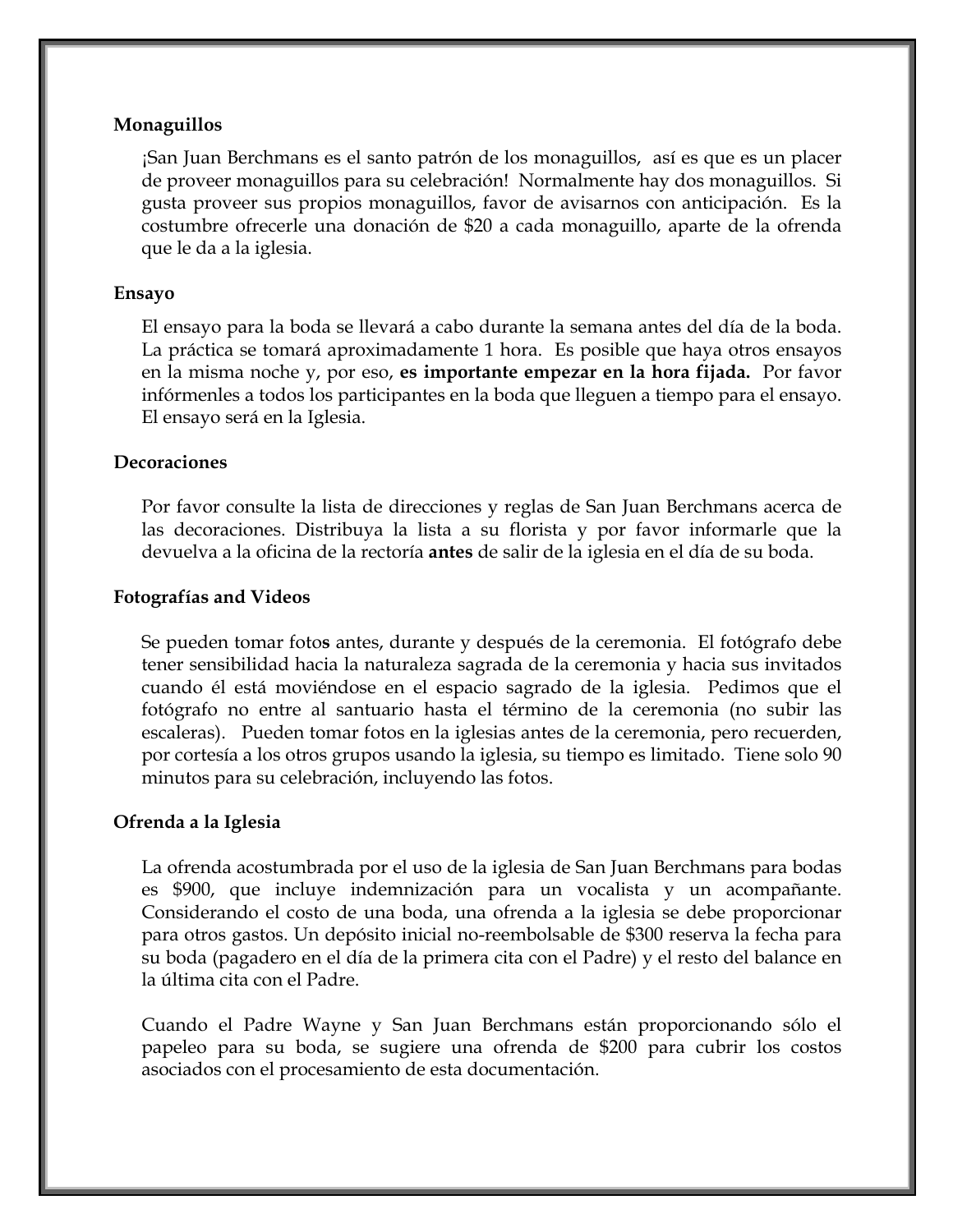## **Monaguillos**

¡San Juan Berchmans es el santo patrón de los monaguillos, así es que es un placer de proveer monaguillos para su celebración! Normalmente hay dos monaguillos. Si gusta proveer sus propios monaguillos, favor de avisarnos con anticipación. Es la costumbre ofrecerle una donación de \$20 a cada monaguillo, aparte de la ofrenda que le da a la iglesia.

## **Ensayo**

El ensayo para la boda se llevará a cabo durante la semana antes del día de la boda. La práctica se tomará aproximadamente 1 hora. Es posible que haya otros ensayos en la misma noche y, por eso, **es importante empezar en la hora fijada.** Por favor infórmenles a todos los participantes en la boda que lleguen a tiempo para el ensayo. El ensayo será en la Iglesia.

## **Decoraciones**

Por favor consulte la lista de direcciones y reglas de San Juan Berchmans acerca de las decoraciones. Distribuya la lista a su florista y por favor informarle que la devuelva a la oficina de la rectoría **antes** de salir de la iglesia en el día de su boda.

## **Fotografías and Videos**

Se pueden tomar foto**s** antes, durante y después de la ceremonia. El fotógrafo debe tener sensibilidad hacia la naturaleza sagrada de la ceremonia y hacia sus invitados cuando él está moviéndose en el espacio sagrado de la iglesia. Pedimos que el fotógrafo no entre al santuario hasta el término de la ceremonia (no subir las escaleras). Pueden tomar fotos en la iglesias antes de la ceremonia, pero recuerden, por cortesía a los otros grupos usando la iglesia, su tiempo es limitado. Tiene solo 90 minutos para su celebración, incluyendo las fotos.

# **Ofrenda a la Iglesia**

La ofrenda acostumbrada por el uso de la iglesia de San Juan Berchmans para bodas es \$900, que incluye indemnización para un vocalista y un acompañante. Considerando el costo de una boda, una ofrenda a la iglesia se debe proporcionar para otros gastos. Un depósito inicial no-reembolsable de \$300 reserva la fecha para su boda (pagadero en el día de la primera cita con el Padre) y el resto del balance en la última cita con el Padre.

Cuando el Padre Wayne y San Juan Berchmans están proporcionando sólo el papeleo para su boda, se sugiere una ofrenda de \$200 para cubrir los costos asociados con el procesamiento de esta documentación.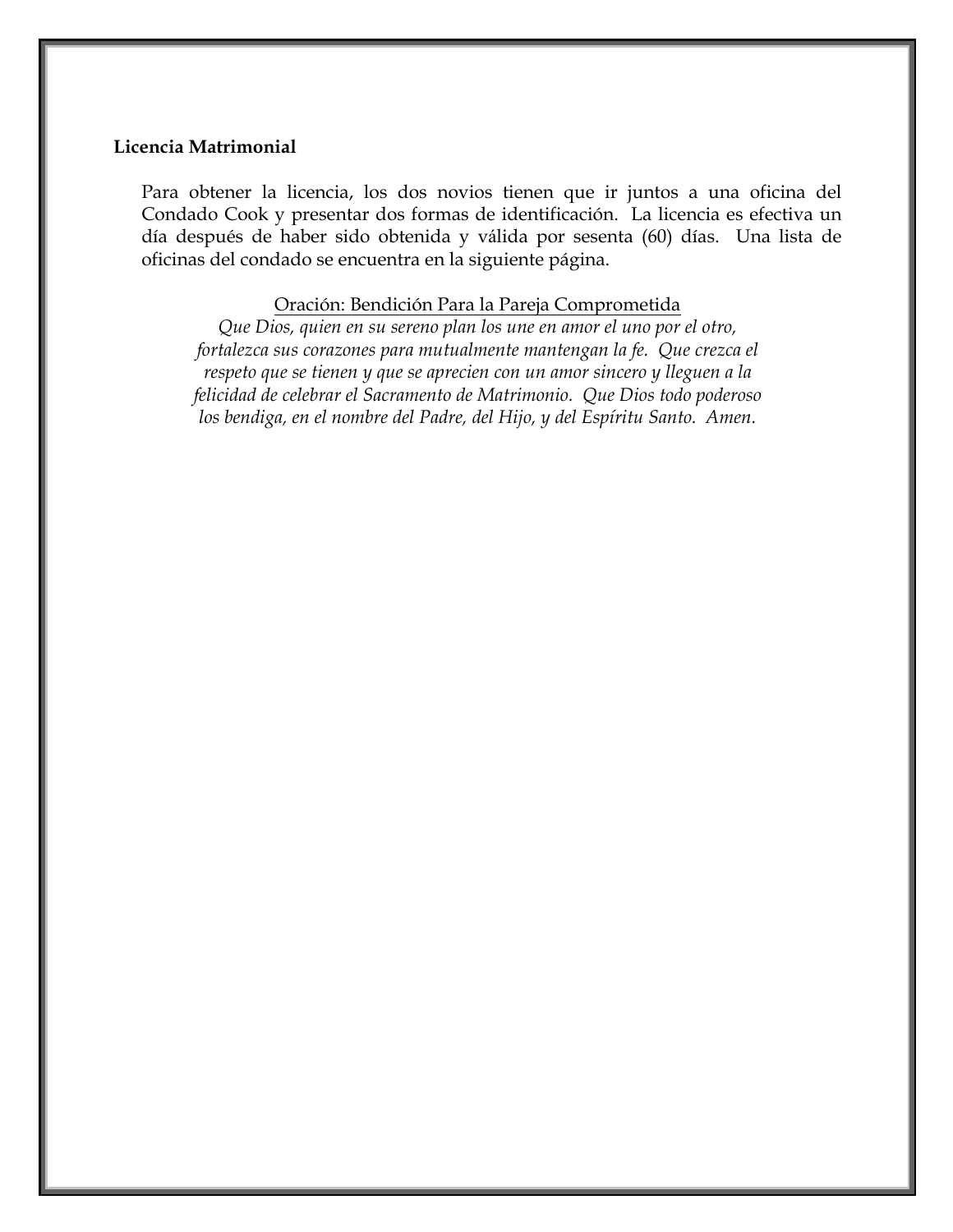# **Licencia Matrimonial**

Para obtener la licencia, los dos novios tienen que ir juntos a una oficina del Condado Cook y presentar dos formas de identificación. La licencia es efectiva un día después de haber sido obtenida y válida por sesenta (60) días. Una lista de oficinas del condado se encuentra en la siguiente página.

#### Oración: Bendición Para la Pareja Comprometida

*Que Dios, quien en su sereno plan los une en amor el uno por el otro, fortalezca sus corazones para mutualmente mantengan la fe. Que crezca el respeto que se tienen y que se aprecien con un amor sincero y lleguen a la felicidad de celebrar el Sacramento de Matrimonio. Que Dios todo poderoso los bendiga, en el nombre del Padre, del Hijo, y del Espíritu Santo. Amen.*